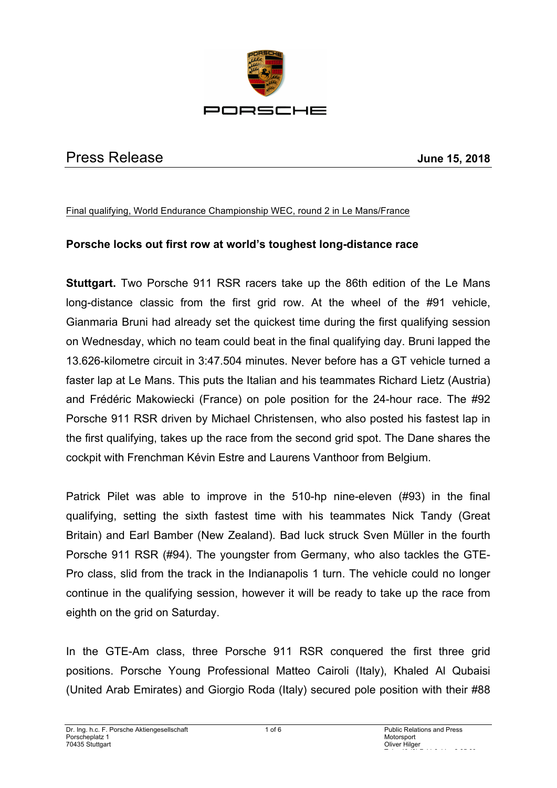

# Press Release **June 15, 2018**

### Final qualifying, World Endurance Championship WEC, round 2 in Le Mans/France

# **Porsche locks out first row at world's toughest long-distance race**

**Stuttgart.** Two Porsche 911 RSR racers take up the 86th edition of the Le Mans long-distance classic from the first grid row. At the wheel of the #91 vehicle, Gianmaria Bruni had already set the quickest time during the first qualifying session on Wednesday, which no team could beat in the final qualifying day. Bruni lapped the 13.626-kilometre circuit in 3:47.504 minutes. Never before has a GT vehicle turned a faster lap at Le Mans. This puts the Italian and his teammates Richard Lietz (Austria) and Frédéric Makowiecki (France) on pole position for the 24-hour race. The #92 Porsche 911 RSR driven by Michael Christensen, who also posted his fastest lap in the first qualifying, takes up the race from the second grid spot. The Dane shares the cockpit with Frenchman Kévin Estre and Laurens Vanthoor from Belgium.

Patrick Pilet was able to improve in the 510-hp nine-eleven (#93) in the final qualifying, setting the sixth fastest time with his teammates Nick Tandy (Great Britain) and Earl Bamber (New Zealand). Bad luck struck Sven Müller in the fourth Porsche 911 RSR (#94). The youngster from Germany, who also tackles the GTE-Pro class, slid from the track in the Indianapolis 1 turn. The vehicle could no longer continue in the qualifying session, however it will be ready to take up the race from eighth on the grid on Saturday.

In the GTE-Am class, three Porsche 911 RSR conquered the first three grid positions. Porsche Young Professional Matteo Cairoli (Italy), Khaled Al Qubaisi (United Arab Emirates) and Giorgio Roda (Italy) secured pole position with their #88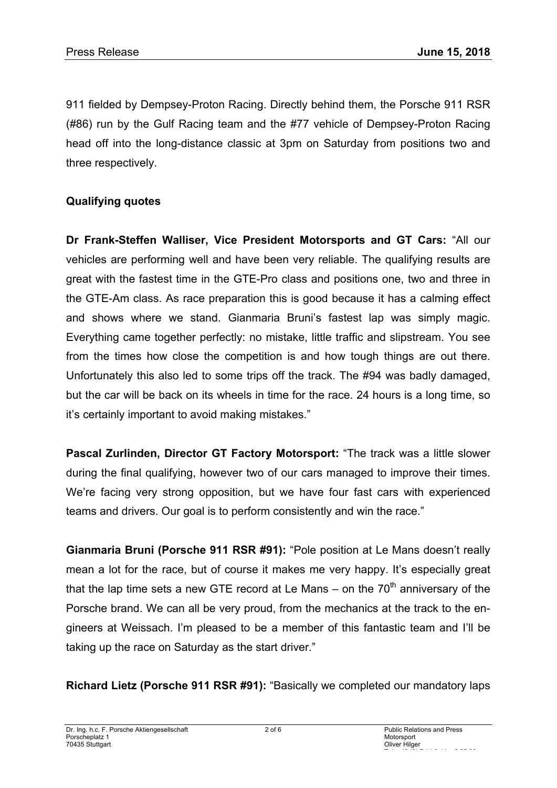911 fielded by Dempsey-Proton Racing. Directly behind them, the Porsche 911 RSR (#86) run by the Gulf Racing team and the #77 vehicle of Dempsey-Proton Racing head off into the long-distance classic at 3pm on Saturday from positions two and three respectively.

# **Qualifying quotes**

**Dr Frank-Steffen Walliser, Vice President Motorsports and GT Cars:** "All our vehicles are performing well and have been very reliable. The qualifying results are great with the fastest time in the GTE-Pro class and positions one, two and three in the GTE-Am class. As race preparation this is good because it has a calming effect and shows where we stand. Gianmaria Bruni's fastest lap was simply magic. Everything came together perfectly: no mistake, little traffic and slipstream. You see from the times how close the competition is and how tough things are out there. Unfortunately this also led to some trips off the track. The #94 was badly damaged, but the car will be back on its wheels in time for the race. 24 hours is a long time, so it's certainly important to avoid making mistakes."

**Pascal Zurlinden, Director GT Factory Motorsport:** "The track was a little slower during the final qualifying, however two of our cars managed to improve their times. We're facing very strong opposition, but we have four fast cars with experienced teams and drivers. Our goal is to perform consistently and win the race."

**Gianmaria Bruni (Porsche 911 RSR #91):** "Pole position at Le Mans doesn't really mean a lot for the race, but of course it makes me very happy. It's especially great that the lap time sets a new GTE record at Le Mans – on the  $70<sup>th</sup>$  anniversary of the Porsche brand. We can all be very proud, from the mechanics at the track to the engineers at Weissach. I'm pleased to be a member of this fantastic team and I'll be taking up the race on Saturday as the start driver."

**Richard Lietz (Porsche 911 RSR #91):** "Basically we completed our mandatory laps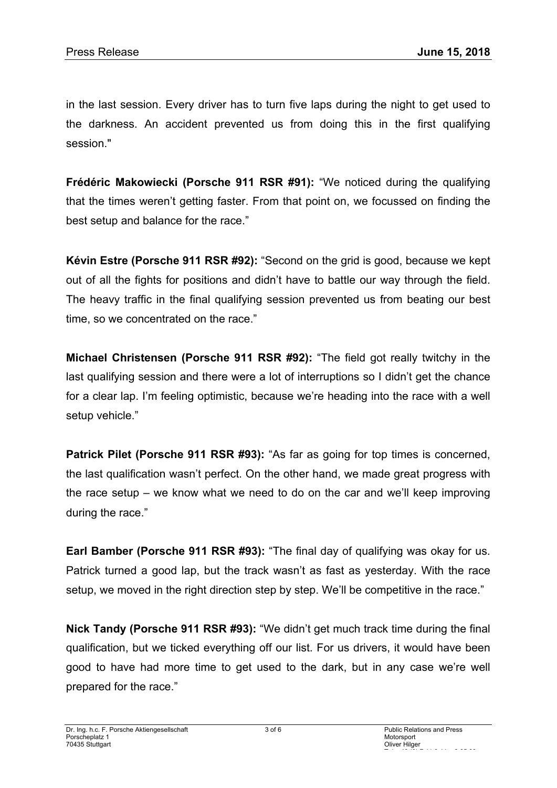in the last session. Every driver has to turn five laps during the night to get used to the darkness. An accident prevented us from doing this in the first qualifying session."

**Frédéric Makowiecki (Porsche 911 RSR #91):** "We noticed during the qualifying that the times weren't getting faster. From that point on, we focussed on finding the best setup and balance for the race."

**Kévin Estre (Porsche 911 RSR #92):** "Second on the grid is good, because we kept out of all the fights for positions and didn't have to battle our way through the field. The heavy traffic in the final qualifying session prevented us from beating our best time, so we concentrated on the race."

**Michael Christensen (Porsche 911 RSR #92):** "The field got really twitchy in the last qualifying session and there were a lot of interruptions so I didn't get the chance for a clear lap. I'm feeling optimistic, because we're heading into the race with a well setup vehicle."

**Patrick Pilet (Porsche 911 RSR #93):** "As far as going for top times is concerned, the last qualification wasn't perfect. On the other hand, we made great progress with the race setup – we know what we need to do on the car and we'll keep improving during the race."

**Earl Bamber (Porsche 911 RSR #93):** "The final day of qualifying was okay for us. Patrick turned a good lap, but the track wasn't as fast as yesterday. With the race setup, we moved in the right direction step by step. We'll be competitive in the race."

**Nick Tandy (Porsche 911 RSR #93):** "We didn't get much track time during the final qualification, but we ticked everything off our list. For us drivers, it would have been good to have had more time to get used to the dark, but in any case we're well prepared for the race."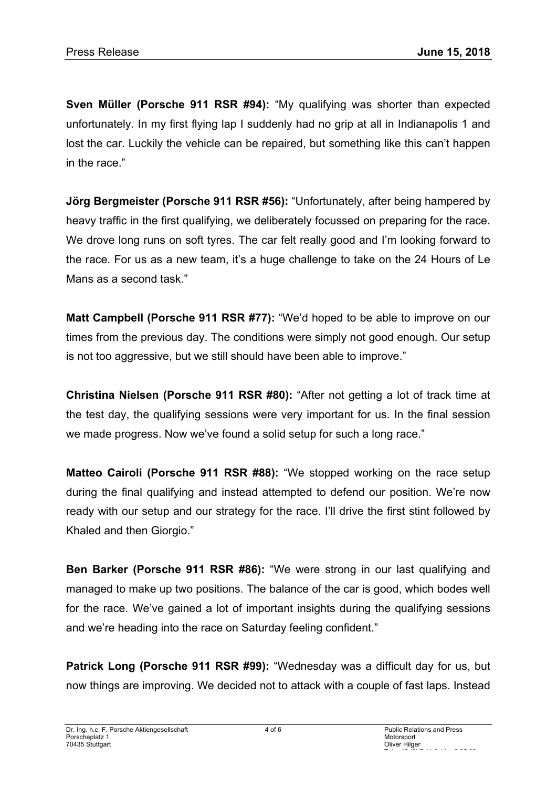**Sven Müller (Porsche 911 RSR #94):** "My qualifying was shorter than expected unfortunately. In my first flying lap I suddenly had no grip at all in Indianapolis 1 and lost the car. Luckily the vehicle can be repaired, but something like this can't happen in the race."

**Jörg Bergmeister (Porsche 911 RSR #56):** "Unfortunately, after being hampered by heavy traffic in the first qualifying, we deliberately focussed on preparing for the race. We drove long runs on soft tyres. The car felt really good and I'm looking forward to the race. For us as a new team, it's a huge challenge to take on the 24 Hours of Le Mans as a second task."

**Matt Campbell (Porsche 911 RSR #77):** "We'd hoped to be able to improve on our times from the previous day. The conditions were simply not good enough. Our setup is not too aggressive, but we still should have been able to improve."

**Christina Nielsen (Porsche 911 RSR #80):** "After not getting a lot of track time at the test day, the qualifying sessions were very important for us. In the final session we made progress. Now we've found a solid setup for such a long race."

**Matteo Cairoli (Porsche 911 RSR #88):** "We stopped working on the race setup during the final qualifying and instead attempted to defend our position. We're now ready with our setup and our strategy for the race. I'll drive the first stint followed by Khaled and then Giorgio."

**Ben Barker (Porsche 911 RSR #86):** "We were strong in our last qualifying and managed to make up two positions. The balance of the car is good, which bodes well for the race. We've gained a lot of important insights during the qualifying sessions and we're heading into the race on Saturday feeling confident."

**Patrick Long (Porsche 911 RSR #99):** "Wednesday was a difficult day for us, but now things are improving. We decided not to attack with a couple of fast laps. Instead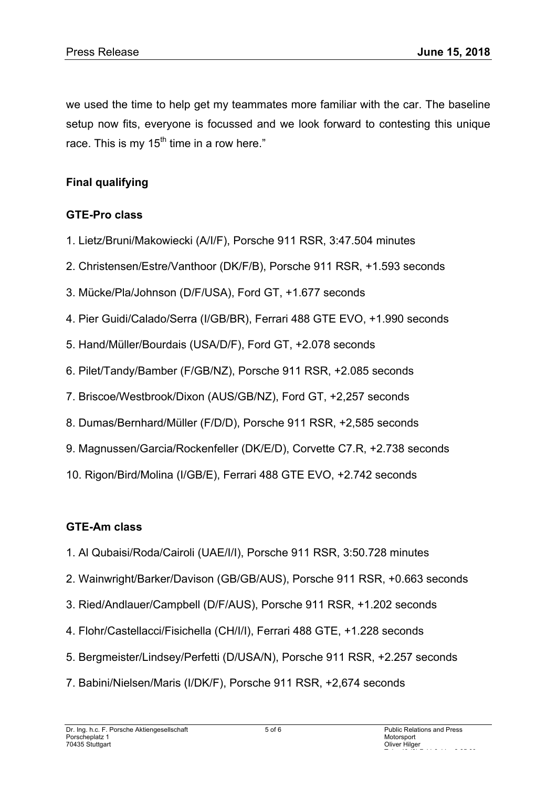we used the time to help get my teammates more familiar with the car. The baseline setup now fits, everyone is focussed and we look forward to contesting this unique race. This is my  $15<sup>th</sup>$  time in a row here."

# **Final qualifying**

### **GTE-Pro class**

- 1. Lietz/Bruni/Makowiecki (A/I/F), Porsche 911 RSR, 3:47.504 minutes
- 2. Christensen/Estre/Vanthoor (DK/F/B), Porsche 911 RSR, +1.593 seconds
- 3. Mücke/Pla/Johnson (D/F/USA), Ford GT, +1.677 seconds
- 4. Pier Guidi/Calado/Serra (I/GB/BR), Ferrari 488 GTE EVO, +1.990 seconds
- 5. Hand/Müller/Bourdais (USA/D/F), Ford GT, +2.078 seconds
- 6. Pilet/Tandy/Bamber (F/GB/NZ), Porsche 911 RSR, +2.085 seconds
- 7. Briscoe/Westbrook/Dixon (AUS/GB/NZ), Ford GT, +2,257 seconds
- 8. Dumas/Bernhard/Müller (F/D/D), Porsche 911 RSR, +2,585 seconds
- 9. Magnussen/Garcia/Rockenfeller (DK/E/D), Corvette C7.R, +2.738 seconds
- 10. Rigon/Bird/Molina (I/GB/E), Ferrari 488 GTE EVO, +2.742 seconds

# **GTE-Am class**

- 1. Al Qubaisi/Roda/Cairoli (UAE/I/I), Porsche 911 RSR, 3:50.728 minutes
- 2. Wainwright/Barker/Davison (GB/GB/AUS), Porsche 911 RSR, +0.663 seconds
- 3. Ried/Andlauer/Campbell (D/F/AUS), Porsche 911 RSR, +1.202 seconds
- 4. Flohr/Castellacci/Fisichella (CH/I/I), Ferrari 488 GTE, +1.228 seconds
- 5. Bergmeister/Lindsey/Perfetti (D/USA/N), Porsche 911 RSR, +2.257 seconds
- 7. Babini/Nielsen/Maris (I/DK/F), Porsche 911 RSR, +2,674 seconds